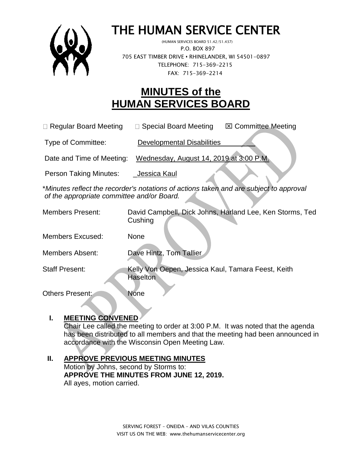

# THE HUMAN SERVICE CENTER

 (HUMAN SERVICES BOARD 51.42/51.437) P.O. BOX 897 705 EAST TIMBER DRIVE **•** RHINELANDER, WI 54501-0897 TELEPHONE: 715-369-2215 FAX: 715-369-2214

# **MINUTES of the HUMAN SERVICES BOARD**

 $\Box$  Regular Board Meeting  $\Box$  Special Board Meeting  $\Box$  Committee Meeting

Type of Committee: Developmental Disabilities

Date and Time of Meeting: Wednesday, August 14, 2019 at 3:00 P.M.

Person Taking Minutes: Jessica Kaul

\**Minutes reflect the recorder's notations of actions taken and are subject to approval of the appropriate committee and/or Board.*

| <b>Members Present:</b> | David Campbell, Dick Johns, Harland Lee, Ken Storms, Ted<br>Cushing   |
|-------------------------|-----------------------------------------------------------------------|
| Members Excused:        | None                                                                  |
| <b>Members Absent:</b>  | Dave Hintz, Tom Tallier                                               |
| <b>Staff Present:</b>   | Kelly Von Oepen, Jessica Kaul, Tamara Feest, Keith<br><b>Haselton</b> |

Others Present: None

**I. MEETING CONVENED**

Chair Lee called the meeting to order at 3:00 P.M. It was noted that the agenda has been distributed to all members and that the meeting had been announced in accordance with the Wisconsin Open Meeting Law.

#### **II. APPROVE PREVIOUS MEETING MINUTES**  Motion by Johns, second by Storms to: **APPROVE THE MINUTES FROM JUNE 12, 2019.** All ayes, motion carried.

SERVING FOREST – ONEIDA – AND VILAS COUNTIES VISIT US ON THE WEB: www.thehumanservicecenter.org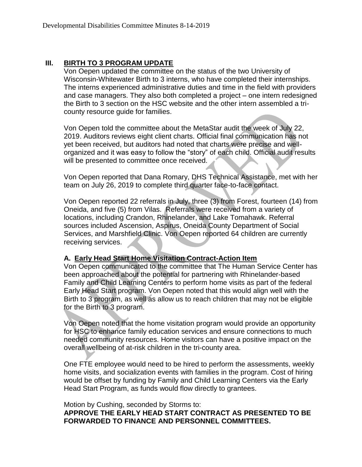#### **III. BIRTH TO 3 PROGRAM UPDATE**

Von Oepen updated the committee on the status of the two University of Wisconsin-Whitewater Birth to 3 interns, who have completed their internships. The interns experienced administrative duties and time in the field with providers and case managers. They also both completed a project – one intern redesigned the Birth to 3 section on the HSC website and the other intern assembled a tricounty resource guide for families.

Von Oepen told the committee about the MetaStar audit the week of July 22, 2019. Auditors reviews eight client charts. Official final communication has not yet been received, but auditors had noted that charts were precise and wellorganized and it was easy to follow the "story" of each child. Official audit results will be presented to committee once received.

Von Oepen reported that Dana Romary, DHS Technical Assistance, met with her team on July 26, 2019 to complete third quarter face-to-face contact.

Von Oepen reported 22 referrals in July, three (3) from Forest, fourteen (14) from Oneida, and five (5) from Vilas. Referrals were received from a variety of locations, including Crandon, Rhinelander, and Lake Tomahawk. Referral sources included Ascension, Aspirus, Oneida County Department of Social Services, and Marshfield Clinic. Von Oepen reported 64 children are currently receiving services.

#### **A. Early Head Start Home Visitation Contract-Action Item**

Von Oepen communicated to the committee that The Human Service Center has been approached about the potential for partnering with Rhinelander-based Family and Child Learning Centers to perform home visits as part of the federal Early Head Start program. Von Oepen noted that this would align well with the Birth to 3 program, as well as allow us to reach children that may not be eligible for the Birth to 3 program.

Von Oepen noted that the home visitation program would provide an opportunity for HSC to enhance family education services and ensure connections to much needed community resources. Home visitors can have a positive impact on the overall wellbeing of at-risk children in the tri-county area.

One FTE employee would need to be hired to perform the assessments, weekly home visits, and socialization events with families in the program. Cost of hiring would be offset by funding by Family and Child Learning Centers via the Early Head Start Program, as funds would flow directly to grantees.

Motion by Cushing, seconded by Storms to:

**APPROVE THE EARLY HEAD START CONTRACT AS PRESENTED TO BE FORWARDED TO FINANCE AND PERSONNEL COMMITTEES.**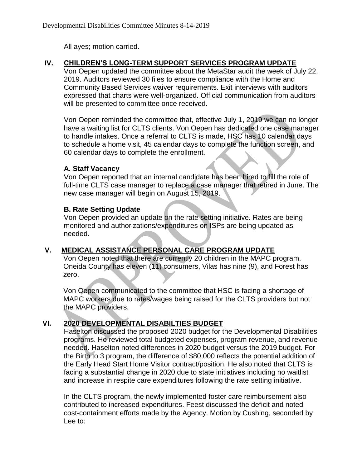All ayes; motion carried.

### **IV. CHILDREN'S LONG-TERM SUPPORT SERVICES PROGRAM UPDATE**

Von Oepen updated the committee about the MetaStar audit the week of July 22, 2019. Auditors reviewed 30 files to ensure compliance with the Home and Community Based Services waiver requirements. Exit interviews with auditors expressed that charts were well-organized. Official communication from auditors will be presented to committee once received.

Von Oepen reminded the committee that, effective July 1, 2019 we can no longer have a waiting list for CLTS clients. Von Oepen has dedicated one case manager to handle intakes. Once a referral to CLTS is made, HSC has 10 calendar days to schedule a home visit, 45 calendar days to complete the function screen, and 60 calendar days to complete the enrollment.

#### **A. Staff Vacancy**

Von Oepen reported that an internal candidate has been hired to fill the role of full-time CLTS case manager to replace a case manager that retired in June. The new case manager will begin on August 15, 2019.

### **B. Rate Setting Update**

Von Oepen provided an update on the rate setting initiative. Rates are being monitored and authorizations/expenditures on ISPs are being updated as needed.

## **V. MEDICAL ASSISTANCE PERSONAL CARE PROGRAM UPDATE**

Von Oepen noted that there are currently 20 children in the MAPC program. Oneida County has eleven (11) consumers, Vilas has nine (9), and Forest has zero.

Von Oepen communicated to the committee that HSC is facing a shortage of MAPC workers due to rates/wages being raised for the CLTS providers but not the MAPC providers.

# **VI. 2020 DEVELOPMENTAL DISABILTIES BUDGET**

Haselton discussed the proposed 2020 budget for the Developmental Disabilities programs. He reviewed total budgeted expenses, program revenue, and revenue needed. Haselton noted differences in 2020 budget versus the 2019 budget. For the Birth to 3 program, the difference of \$80,000 reflects the potential addition of the Early Head Start Home Visitor contract/position. He also noted that CLTS is facing a substantial change in 2020 due to state initiatives including no waitlist and increase in respite care expenditures following the rate setting initiative.

In the CLTS program, the newly implemented foster care reimbursement also contributed to increased expenditures. Feest discussed the deficit and noted cost-containment efforts made by the Agency. Motion by Cushing, seconded by Lee to: